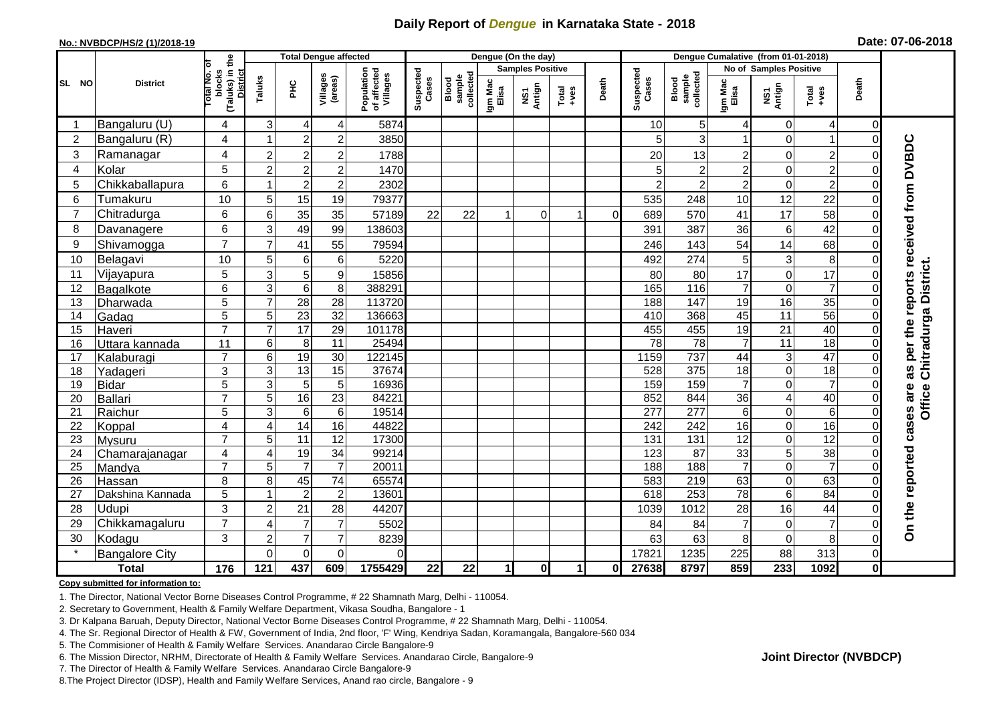## **Daily Report of** *Dengue* **in Karnataka State - 2018**

#### **No.: NVBDCP/HS/2 (1)/2018-19**

|  | Date: 07-06-2018 |  |
|--|------------------|--|
|--|------------------|--|

|                |                       |                                                       |                           | <b>Total Dengue affected</b> |                     |                                       | Dengue (On the day) |                              |                  |                         |                                                                        |          |                    | Dengue Cumalative (from 01-01-2018) |                        |                         |                  |                |                                     |  |
|----------------|-----------------------|-------------------------------------------------------|---------------------------|------------------------------|---------------------|---------------------------------------|---------------------|------------------------------|------------------|-------------------------|------------------------------------------------------------------------|----------|--------------------|-------------------------------------|------------------------|-------------------------|------------------|----------------|-------------------------------------|--|
|                |                       |                                                       |                           |                              |                     |                                       |                     |                              |                  | <b>Samples Positive</b> |                                                                        |          |                    |                                     | No of Samples Positive |                         |                  |                |                                     |  |
| SL NO          | <b>District</b>       | (Taluks) in the<br>District<br>lotal No. ol<br>blocks | Taluks                    | $rac{C}{\pi}$                | Villages<br>(areas) | Population<br>of affected<br>Villages | Suspected<br>Cases  | sample<br>collected<br>Blood | Igm Mac<br>Elisa | NS1<br>Antign           | $\begin{array}{c}\n\text{Total} \\ \text{1}-\text{total}\n\end{array}$ | Death    | Suspected<br>Cases | collected<br><b>Blood</b><br>sample | Igm Mac<br>Elisa       | NS1<br>Antign           | $Tota$<br>$+ves$ | Death          |                                     |  |
|                | Bangaluru (U)         | 4                                                     | 3                         | 4                            | 4                   | 5874                                  |                     |                              |                  |                         |                                                                        |          | 10                 | 5 <sup>1</sup>                      | 4                      | $\mathbf 0$             | 4                | $\overline{0}$ |                                     |  |
| $\overline{2}$ | Bangaluru (R)         | $\overline{4}$                                        |                           | $\overline{2}$               | $\overline{c}$      | 3850                                  |                     |                              |                  |                         |                                                                        |          |                    | $\overline{3}$                      |                        | $\mathbf 0$             |                  | $\Omega$       |                                     |  |
| 3              | Ramanagar             | $\overline{4}$                                        | $\overline{c}$            | $\overline{2}$               | $\overline{c}$      | 1788                                  |                     |                              |                  |                         |                                                                        |          | 20                 | 13                                  | $\overline{2}$         | $\mathbf 0$             | $\overline{2}$   | 0              | per the reports received from DVBDC |  |
| 4              | Kolar                 | 5                                                     | $\overline{c}$            | $\boldsymbol{2}$             | $\overline{c}$      | 1470                                  |                     |                              |                  |                         |                                                                        |          | 5                  | $\overline{c}$                      | $\overline{c}$         | $\mathbf 0$             | $\overline{2}$   | 0              |                                     |  |
| 5              | Chikkaballapura       | 6                                                     | -1                        | $\overline{2}$               | $\overline{c}$      | 2302                                  |                     |                              |                  |                         |                                                                        |          |                    | $\overline{2}$                      | $\overline{2}$         | $\mathbf 0$             | $\overline{2}$   | 0              |                                     |  |
| 6              | Tumakuru              | 10                                                    | 5                         | 15                           | 19                  | 79377                                 |                     |                              |                  |                         |                                                                        |          | 535                | 248                                 | 10                     | 12                      | 22               | 0              |                                     |  |
| $\overline{7}$ | Chitradurga           | 6                                                     | 6                         | 35                           | 35                  | 57189                                 | 22                  | 22                           |                  | $\Omega$                |                                                                        | $\Omega$ | 689                | 570                                 | 41                     | 17                      | 58               |                |                                     |  |
| 8              | Davanagere            | 6                                                     | 3                         | 49                           | 99                  | 138603                                |                     |                              |                  |                         |                                                                        |          | 391                | 387                                 | 36                     | $\,6$                   | 42               | 0              |                                     |  |
| 9              | Shivamogga            | $\overline{7}$                                        | $\overline{7}$            | 41                           | 55                  | 79594                                 |                     |                              |                  |                         |                                                                        |          | 246                | 143                                 | 54                     | 14                      | 68               | 0              |                                     |  |
| 10             | Belagavi              | 10                                                    | 5                         | $\,6$                        | 6                   | 5220                                  |                     |                              |                  |                         |                                                                        |          | 492                | 274                                 | 5                      | $\mathbf{3}$            | 8                | $\Omega$       |                                     |  |
| 11             | Vijayapura            | 5                                                     | $\ensuremath{\mathsf{3}}$ | 5                            | 9                   | 15856                                 |                     |                              |                  |                         |                                                                        |          | 80                 | 80                                  | 17                     | $\boldsymbol{0}$        | 17               | 0              | Chitradurga District.               |  |
| 12             | Bagalkote             | 6                                                     | $\overline{3}$            | $\overline{6}$               | 8                   | 388291                                |                     |                              |                  |                         |                                                                        |          | 165                | $\frac{116}{116}$                   | $\overline{7}$         | $\overline{0}$          | $\overline{7}$   | $\Omega$       |                                     |  |
| 13             | Dharwada              | 5                                                     | $\overline{7}$            | $\overline{28}$              | $\overline{28}$     | 113720                                |                     |                              |                  |                         |                                                                        |          | 188                | 147                                 | 19                     | 16                      | 35               | $\Omega$       |                                     |  |
| 14             | Gadag                 | 5                                                     | 5                         | $\overline{23}$              | 32                  | 136663                                |                     |                              |                  |                         |                                                                        |          | 410                | 368                                 | 45                     | $\overline{11}$         | 56               | 0              |                                     |  |
| 15             | Haveri                | $\overline{7}$                                        | $\overline{7}$            | $\overline{17}$              | 29                  | 101178                                |                     |                              |                  |                         |                                                                        |          | 455                | 455                                 | 19                     | $\overline{21}$         | 40               | 0              |                                     |  |
| 16             | Uttara kannada        | 11                                                    | 6                         | 8                            | 11                  | 25494                                 |                     |                              |                  |                         |                                                                        |          | $\overline{78}$    | $\overline{78}$                     | $\overline{7}$         | $\overline{11}$         | 18               | 0              |                                     |  |
| 17             | Kalaburagi            | $\overline{7}$                                        | 6                         | 19                           | $\overline{30}$     | 122145                                |                     |                              |                  |                         |                                                                        |          | 1159               | 737                                 | 44                     | $\mathbf{3}$            | 47               | 0              |                                     |  |
| 18             | Yadageri              | 3                                                     | $\ensuremath{\mathsf{3}}$ | 13                           | 15                  | 37674                                 |                     |                              |                  |                         |                                                                        |          | 528                | 375                                 | 18                     | $\pmb{0}$               | 18               | 0              | as                                  |  |
| 19             | <b>Bidar</b>          | 5                                                     | $\mathbf{3}$              | 5                            | 5                   | 16936                                 |                     |                              |                  |                         |                                                                        |          | 159                | 159                                 | $\overline{7}$         | $\mathbf 0$             | $\overline{7}$   | 0              | are                                 |  |
| 20             | <b>Ballari</b>        | $\overline{7}$                                        | 5                         | 16                           | $\overline{23}$     | 84221                                 |                     |                              |                  |                         |                                                                        |          | 852                | 844                                 | 36                     | $\overline{\mathbf{4}}$ | 40               | 0              | <b>Office</b>                       |  |
| 21             | Raichur               | 5                                                     | $\mathbf{3}$              | $\,6$                        | 6                   | 19514                                 |                     |                              |                  |                         |                                                                        |          | 277                | $\overline{277}$                    | 6                      | $\mathbf 0$             | 6                | $\Omega$       |                                     |  |
| 22             | Koppal                | $\overline{\mathbf{4}}$                               | 4                         | 14                           | 16                  | 44822                                 |                     |                              |                  |                         |                                                                        |          | 242                | 242                                 | 16                     | $\mathbf 0$             | 16               | $\Omega$       | cases                               |  |
| 23             | Mysuru                | $\overline{7}$                                        | 5                         | $\overline{11}$              | $\overline{12}$     | 17300                                 |                     |                              |                  |                         |                                                                        |          | 131                | 131                                 | $\overline{12}$        | $\mathbf 0$             | 12               | $\Omega$       |                                     |  |
| 24             | Chamarajanagar        | $\overline{4}$                                        | 4                         | 19                           | 34                  | 99214                                 |                     |                              |                  |                         |                                                                        |          | 123                | 87                                  | 33                     | $\overline{5}$          | 38               | $\Omega$       |                                     |  |
| 25             | Mandya                | $\overline{7}$                                        | 5                         | $\overline{7}$               | $\overline{7}$      | 20011                                 |                     |                              |                  |                         |                                                                        |          | 188                | 188                                 | $\overline{7}$         | $\overline{0}$          | $\overline{7}$   | 0              |                                     |  |
| 26             | Hassan                | 8                                                     | 8                         | 45                           | 74                  | 65574                                 |                     |                              |                  |                         |                                                                        |          | 583                | 219                                 | 63                     | $\mathbf 0$             | 63               | 0              |                                     |  |
| 27             | Dakshina Kannada      | $\overline{5}$                                        |                           | $\overline{2}$               | $\overline{2}$      | 13601                                 |                     |                              |                  |                         |                                                                        |          | 618                | 253                                 | 78                     | $\overline{6}$          | 84               | 0              |                                     |  |
| 28             | Udupi                 | 3                                                     | $\overline{2}$            | 21                           | 28                  | 44207                                 |                     |                              |                  |                         |                                                                        |          | 1039               | 1012                                | 28                     | 16                      | 44               | 0              |                                     |  |
| 29             | Chikkamagaluru        | $\overline{7}$                                        | $\overline{4}$            | $\overline{7}$               | $\overline{7}$      | 5502                                  |                     |                              |                  |                         |                                                                        |          | 84                 | 84                                  | $\overline{7}$         | $\mathbf 0$             | $\overline{7}$   | 0              | On the reported                     |  |
| 30             | Kodagu                | 3                                                     | $\overline{c}$            | $\overline{7}$               | $\overline{7}$      | 8239                                  |                     |                              |                  |                         |                                                                        |          | 63                 | 63                                  | 8                      | $\boldsymbol{0}$        | 8                | $\Omega$       |                                     |  |
|                | <b>Bangalore City</b> |                                                       | $\Omega$                  | $\Omega$                     | 0                   | $\Omega$                              |                     |                              |                  |                         |                                                                        |          | 17821              | 1235                                | 225                    | 88                      | 313              | $\mathbf 0$    |                                     |  |
|                | <b>Total</b>          | $\frac{1}{176}$                                       | $\overline{121}$          | 437                          | 609                 | 1755429                               | 22                  | $\overline{22}$              | 1                | $\mathbf{0}$            | $\mathbf{1}$                                                           | 01       | 27638              | 8797                                | 859                    | 233                     | 1092             | 0              |                                     |  |

### **Copy submitted for information to:**

1. The Director, National Vector Borne Diseases Control Programme, # 22 Shamnath Marg, Delhi - 110054.

2. Secretary to Government, Health & Family Welfare Department, Vikasa Soudha, Bangalore - 1

3. Dr Kalpana Baruah, Deputy Director, National Vector Borne Diseases Control Programme, # 22 Shamnath Marg, Delhi - 110054.

- 4. The Sr. Regional Director of Health & FW, Government of India, 2nd floor, 'F' Wing, Kendriya Sadan, Koramangala, Bangalore-560 034
- 5. The Commisioner of Health & Family Welfare Services. Anandarao Circle Bangalore-9
- 6. The Mission Director, NRHM, Directorate of Health & Family Welfare Services. Anandarao Circle, Bangalore-9

7. The Director of Health & Family Welfare Services. Anandarao Circle Bangalore-9

8.The Project Director (IDSP), Health and Family Welfare Services, Anand rao circle, Bangalore - 9